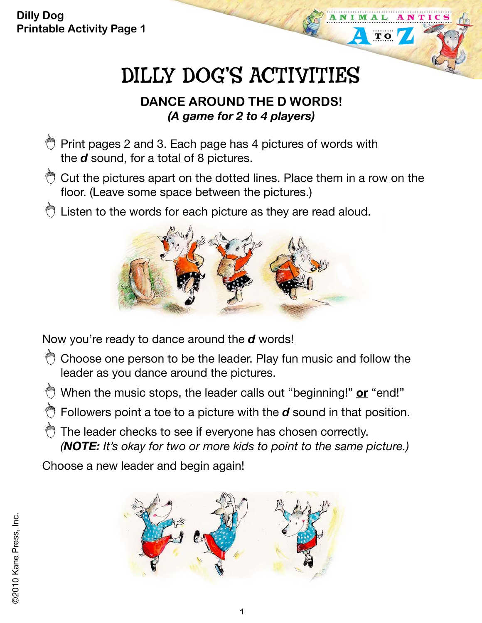**Dilly Dog Printable Activity Page 1**

# DILLY DOG'S ACTIVITIES

**TO** 

#### **DANCE AROUND THE D WORDS!**  *(A game for 2 to 4 players)*

- $\bigcirc$  Print pages 2 and 3. Each page has 4 pictures of words with the *d* sound, for a total of 8 pictures.
- $\bigcirc$  Cut the pictures apart on the dotted lines. Place them in a row on the floor. (Leave some space between the pictures.)
- the Listen to the words for each picture as they are read aloud.



Now you're ready to dance around the *d* words!

- $\hat{\heartsuit}$  Choose one person to be the leader. Play fun music and follow the leader as you dance around the pictures.
- When the music stops, the leader calls out "beginning!" **or** "end!"
- $\bullet$  Followers point a toe to a picture with the *d* sound in that position.
- The leader checks to see if everyone has chosen correctly. *(NOTE: It's okay for two or more kids to point to the same picture.)*

Choose a new leader and begin again!

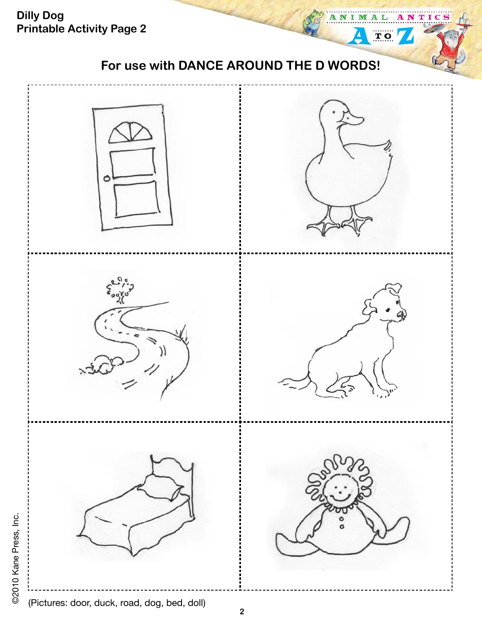**Dilly Dog**  TIC **Printable Activity Page 2**  $\overline{T}$  O **For use with DANCE AROUND THE D WORDS!** 

©2010 Kane Press, Inc. ©2010 Kane Press, Inc.

(Pictures: door, duck, road, dog, bed, doll)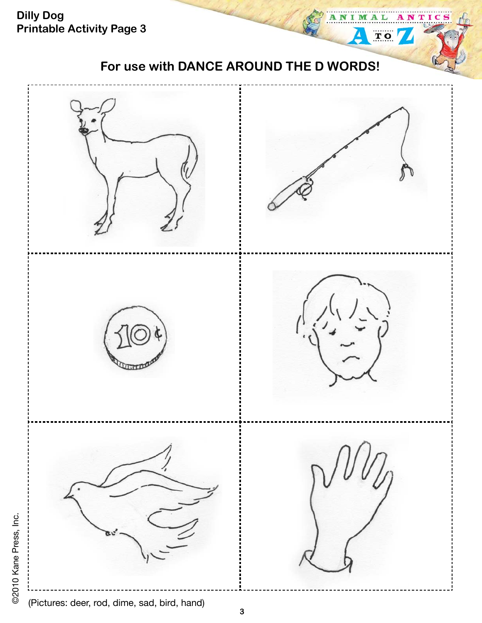

(Pictures: deer, rod, dime, sad, bird, hand)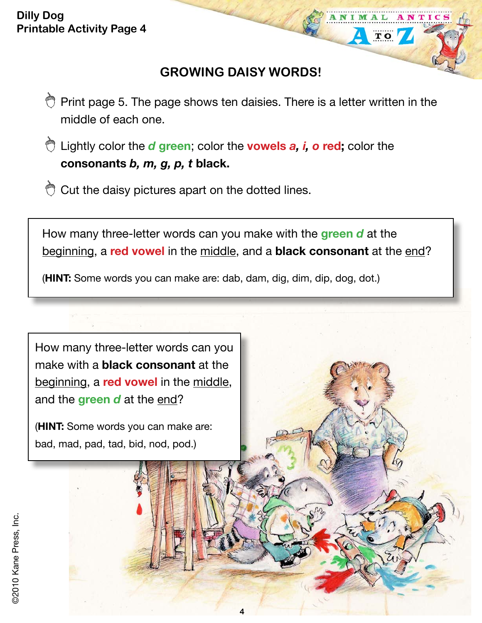### **GROWING DAISY WORDS!**

NTIC

 $T$  O

- $\bigcirc$  Print page 5. The page shows ten daisies. There is a letter written in the middle of each one.
- Lightly color the *d* **green**; color the **vowels** *a, i, o* **red;** color the **consonants** *b, m, g, p, t* **black.**
- Cut the daisy pictures apart on the dotted lines.

How many three-letter words can you make with the **green** *d* at the beginning, a **red vowel** in the middle, and a **black consonant** at the end?

(**HINT:** Some words you can make are: dab, dam, dig, dim, dip, dog, dot.)



(**HINT:** Some words you can make are: bad, mad, pad, tad, bid, nod, pod.)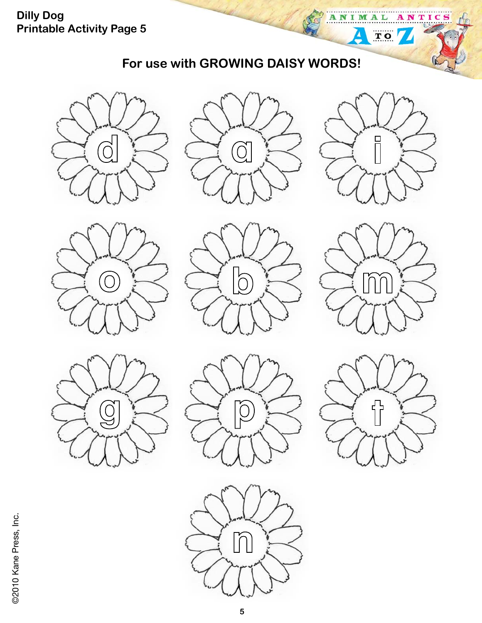## **For use with GROWING DAISY WORDS!**







**AL** 

 $\begin{tabular}{|c|c|} \hline \quad \quad & \quad \quad & \quad \quad \\ \hline \quad \quad & \quad \quad & \quad \quad \\ \hline \quad \quad & \quad \quad & \quad \quad \\ \hline \end{tabular}$ 

ANTICS

ANIM

Δ